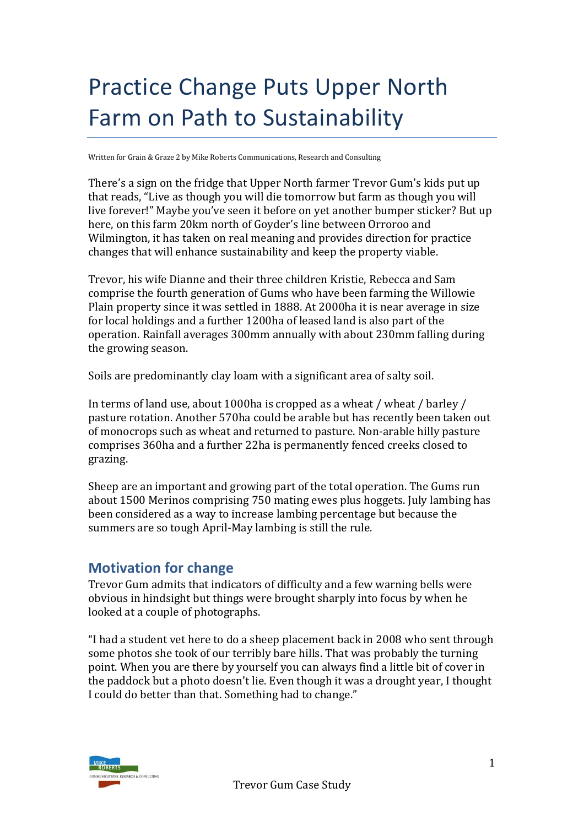# Practice Change Puts Upper North Farm on Path to Sustainability

Written for Grain & Graze 2 by Mike Roberts Communications, Research and Consulting

There's a sign on the fridge that Upper North farmer Trevor Gum's kids put up that reads, "Live as though you will die tomorrow but farm as though you will live forever!" Maybe you've seen it before on yet another bumper sticker? But up here, on this farm 20km north of Goyder's line between Orroroo and Wilmington, it has taken on real meaning and provides direction for practice changes that will enhance sustainability and keep the property viable.

Trevor, his wife Dianne and their three children Kristie, Rebecca and Sam comprise the fourth generation of Gums who have been farming the Willowie Plain property since it was settled in 1888. At 2000ha it is near average in size for local holdings and a further 1200ha of leased land is also part of the operation. Rainfall averages 300mm annually with about 230mm falling during the growing season.

Soils are predominantly clay loam with a significant area of salty soil.

In terms of land use, about 1000ha is cropped as a wheat / wheat / barley / pasture rotation. Another 570ha could be arable but has recently been taken out of monocrops such as wheat and returned to pasture. Non-arable hilly pasture comprises 360ha and a further 22ha is permanently fenced creeks closed to grazing.

Sheep are an important and growing part of the total operation. The Gums run about 1500 Merinos comprising 750 mating ewes plus hoggets. July lambing has been considered as a way to increase lambing percentage but because the summers are so tough April-May lambing is still the rule.

## **Motivation for change**

Trevor Gum admits that indicators of difficulty and a few warning bells were obvious in hindsight but things were brought sharply into focus by when he looked at a couple of photographs.

"I had a student vet here to do a sheep placement back in 2008 who sent through some photos she took of our terribly bare hills. That was probably the turning point. When you are there by yourself you can always find a little bit of cover in the paddock but a photo doesn't lie. Even though it was a drought year, I thought I could do better than that. Something had to change."

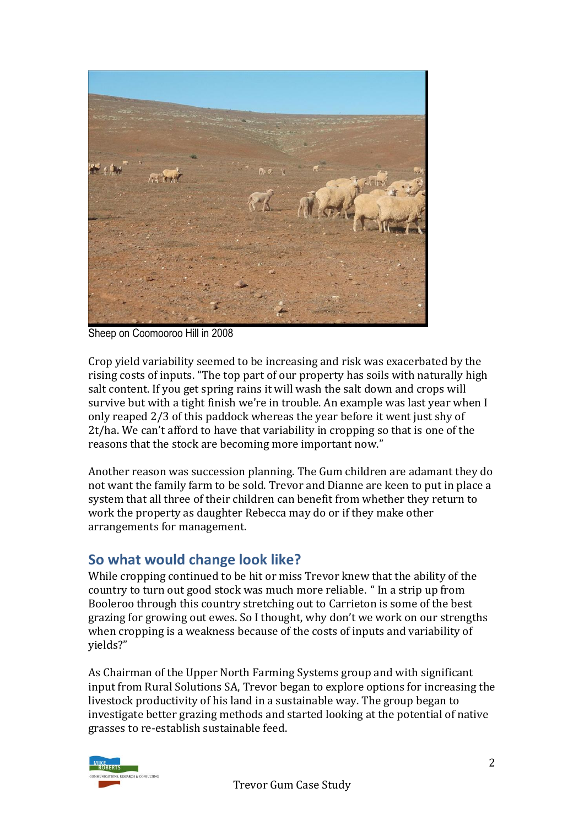

Sheep on Coomooroo Hill in 2008

Crop yield variability seemed to be increasing and risk was exacerbated by the rising costs of inputs. "The top part of our property has soils with naturally high salt content. If you get spring rains it will wash the salt down and crops will survive but with a tight finish we're in trouble. An example was last year when I only reaped 2/3 of this paddock whereas the year before it went just shy of 2t/ha. We can't afford to have that variability in cropping so that is one of the reasons that the stock are becoming more important now."

Another reason was succession planning. The Gum children are adamant they do not want the family farm to be sold. Trevor and Dianne are keen to put in place a system that all three of their children can benefit from whether they return to work the property as daughter Rebecca may do or if they make other arrangements for management.

## **So what would change look like?**

While cropping continued to be hit or miss Trevor knew that the ability of the country to turn out good stock was much more reliable. " In a strip up from Booleroo through this country stretching out to Carrieton is some of the best grazing for growing out ewes. So I thought, why don't we work on our strengths when cropping is a weakness because of the costs of inputs and variability of yields?"

As Chairman of the Upper North Farming Systems group and with significant input from Rural Solutions SA, Trevor began to explore options for increasing the livestock productivity of his land in a sustainable way. The group began to investigate better grazing methods and started looking at the potential of native grasses to re-establish sustainable feed.

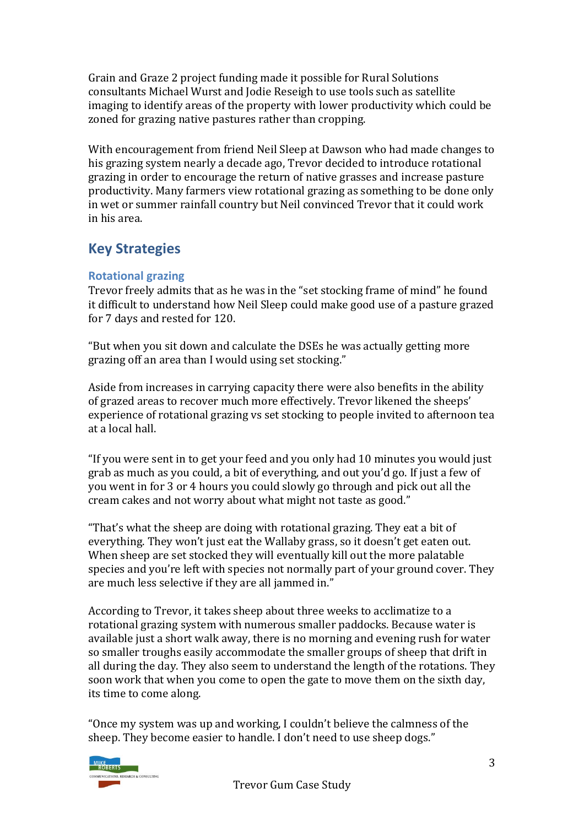Grain and Graze 2 project funding made it possible for Rural Solutions consultants Michael Wurst and Jodie Reseigh to use tools such as satellite imaging to identify areas of the property with lower productivity which could be zoned for grazing native pastures rather than cropping.

With encouragement from friend Neil Sleep at Dawson who had made changes to his grazing system nearly a decade ago, Trevor decided to introduce rotational grazing in order to encourage the return of native grasses and increase pasture productivity. Many farmers view rotational grazing as something to be done only in wet or summer rainfall country but Neil convinced Trevor that it could work in his area.

# **Key Strategies**

#### **Rotational grazing**

Trevor freely admits that as he was in the "set stocking frame of mind" he found it difficult to understand how Neil Sleep could make good use of a pasture grazed for 7 days and rested for 120.

"But when you sit down and calculate the DSEs he was actually getting more grazing off an area than I would using set stocking."

Aside from increases in carrying capacity there were also benefits in the ability of grazed areas to recover much more effectively. Trevor likened the sheeps' experience of rotational grazing vs set stocking to people invited to afternoon tea at a local hall.

"If you were sent in to get your feed and you only had 10 minutes you would just grab as much as you could, a bit of everything, and out you'd go. If just a few of you went in for 3 or 4 hours you could slowly go through and pick out all the cream cakes and not worry about what might not taste as good."

"That's what the sheep are doing with rotational grazing. They eat a bit of everything. They won't just eat the Wallaby grass, so it doesn't get eaten out. When sheep are set stocked they will eventually kill out the more palatable species and you're left with species not normally part of your ground cover. They are much less selective if they are all jammed in."

According to Trevor, it takes sheep about three weeks to acclimatize to a rotational grazing system with numerous smaller paddocks. Because water is available just a short walk away, there is no morning and evening rush for water so smaller troughs easily accommodate the smaller groups of sheep that drift in all during the day. They also seem to understand the length of the rotations. They soon work that when you come to open the gate to move them on the sixth day, its time to come along.

"Once my system was up and working, I couldn't believe the calmness of the sheep. They become easier to handle. I don't need to use sheep dogs."

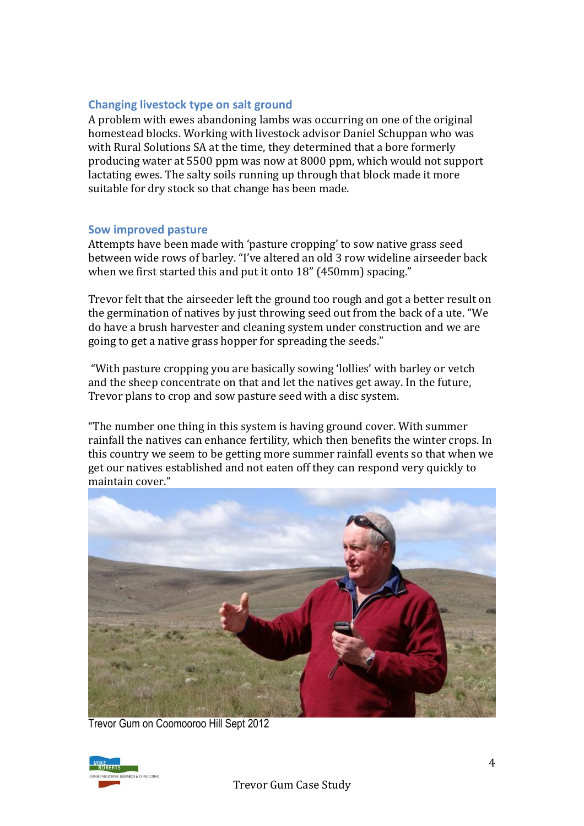#### **Changing livestock type on salt ground**

A problem with ewes abandoning lambs was occurring on one of the original homestead blocks. Working with livestock advisor Daniel Schuppan who was with Rural Solutions SA at the time, they determined that a bore formerly producing water at 5500 ppm was now at 8000 ppm, which would not support lactating ewes. The salty soils running up through that block made it more suitable for dry stock so that change has been made.

#### **Sow improved pasture**

Attempts have been made with 'pasture cropping' to sow native grass seed between wide rows of barley. "I've altered an old 3 row wideline airseeder back when we first started this and put it onto 18" (450mm) spacing."

Trevor felt that the airseeder left the ground too rough and got a better result on the germination of natives by just throwing seed out from the back of a ute. "We do have a brush harvester and cleaning system under construction and we are going to get a native grass hopper for spreading the seeds."

"With pasture cropping you are basically sowing 'lollies' with barley or vetch and the sheep concentrate on that and let the natives get away. In the future, Trevor plans to crop and sow pasture seed with a disc system.

"The number one thing in this system is having ground cover. With summer rainfall the natives can enhance fertility, which then benefits the winter crops. In this country we seem to be getting more summer rainfall events so that when we get our natives established and not eaten off they can respond very quickly to maintain cover."



Trevor Gum on Coomooroo Hill Sept 2012

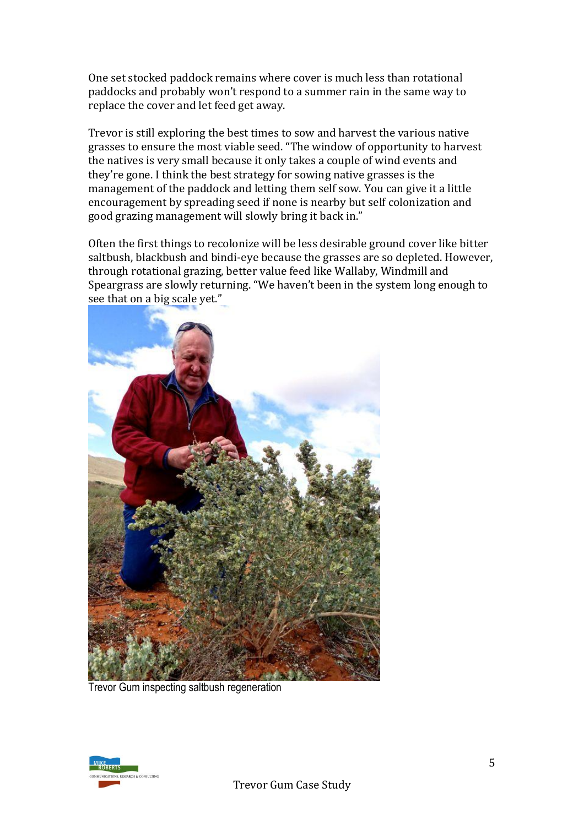One set stocked paddock remains where cover is much less than rotational paddocks and probably won't respond to a summer rain in the same way to replace the cover and let feed get away.

Trevor is still exploring the best times to sow and harvest the various native grasses to ensure the most viable seed. "The window of opportunity to harvest the natives is very small because it only takes a couple of wind events and they're gone. I think the best strategy for sowing native grasses is the management of the paddock and letting them self sow. You can give it a little encouragement by spreading seed if none is nearby but self colonization and good grazing management will slowly bring it back in."

Often the first things to recolonize will be less desirable ground cover like bitter saltbush, blackbush and bindi-eye because the grasses are so depleted. However, through rotational grazing, better value feed like Wallaby, Windmill and Speargrass are slowly returning. "We haven't been in the system long enough to see that on a big scale yet."



Trevor Gum inspecting saltbush regeneration

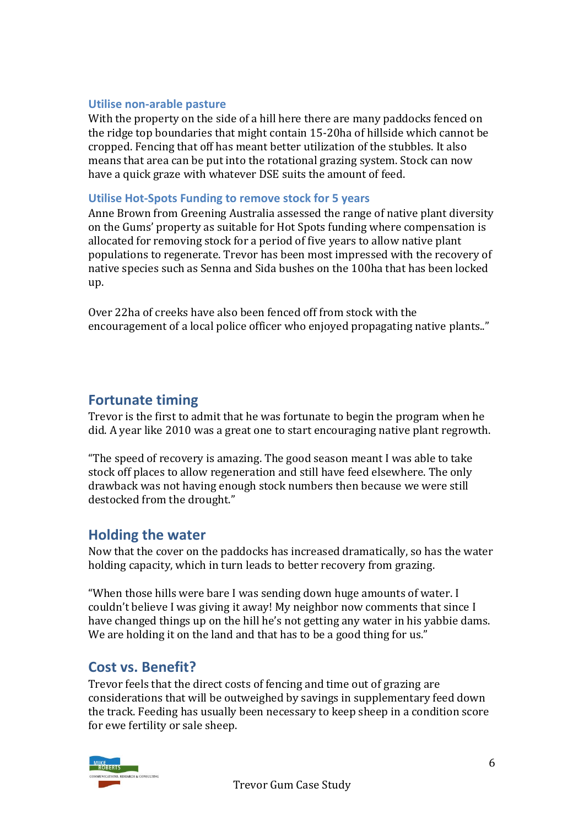#### **Utilise non-arable pasture**

With the property on the side of a hill here there are many paddocks fenced on the ridge top boundaries that might contain 15-20ha of hillside which cannot be cropped. Fencing that off has meant better utilization of the stubbles. It also means that area can be put into the rotational grazing system. Stock can now have a quick graze with whatever DSE suits the amount of feed.

#### **Utilise Hot-Spots Funding to remove stock for 5 years**

Anne Brown from Greening Australia assessed the range of native plant diversity on the Gums' property as suitable for Hot Spots funding where compensation is allocated for removing stock for a period of five years to allow native plant populations to regenerate. Trevor has been most impressed with the recovery of native species such as Senna and Sida bushes on the 100ha that has been locked up.

Over 22ha of creeks have also been fenced off from stock with the encouragement of a local police officer who enjoyed propagating native plants.."

## **Fortunate timing**

Trevor is the first to admit that he was fortunate to begin the program when he did. A year like 2010 was a great one to start encouraging native plant regrowth.

"The speed of recovery is amazing. The good season meant I was able to take stock off places to allow regeneration and still have feed elsewhere. The only drawback was not having enough stock numbers then because we were still destocked from the drought."

## **Holding the water**

Now that the cover on the paddocks has increased dramatically, so has the water holding capacity, which in turn leads to better recovery from grazing.

"When those hills were bare I was sending down huge amounts of water. I couldn't believe I was giving it away! My neighbor now comments that since I have changed things up on the hill he's not getting any water in his yabbie dams. We are holding it on the land and that has to be a good thing for us."

## **Cost vs. Benefit?**

Trevor feels that the direct costs of fencing and time out of grazing are considerations that will be outweighed by savings in supplementary feed down the track. Feeding has usually been necessary to keep sheep in a condition score for ewe fertility or sale sheep.

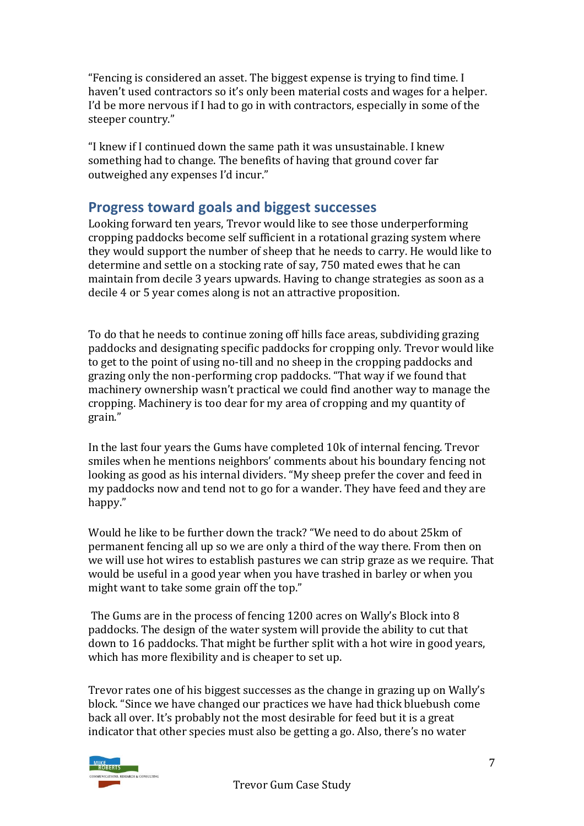"Fencing is considered an asset. The biggest expense is trying to find time. I haven't used contractors so it's only been material costs and wages for a helper. I'd be more nervous if I had to go in with contractors, especially in some of the steeper country."

"I knew if I continued down the same path it was unsustainable. I knew something had to change. The benefits of having that ground cover far outweighed any expenses I'd incur."

## **Progress toward goals and biggest successes**

Looking forward ten years, Trevor would like to see those underperforming cropping paddocks become self sufficient in a rotational grazing system where they would support the number of sheep that he needs to carry. He would like to determine and settle on a stocking rate of say, 750 mated ewes that he can maintain from decile 3 years upwards. Having to change strategies as soon as a decile 4 or 5 year comes along is not an attractive proposition.

To do that he needs to continue zoning off hills face areas, subdividing grazing paddocks and designating specific paddocks for cropping only. Trevor would like to get to the point of using no-till and no sheep in the cropping paddocks and grazing only the non-performing crop paddocks. "That way if we found that machinery ownership wasn't practical we could find another way to manage the cropping. Machinery is too dear for my area of cropping and my quantity of grain."

In the last four years the Gums have completed 10k of internal fencing. Trevor smiles when he mentions neighbors' comments about his boundary fencing not looking as good as his internal dividers. "My sheep prefer the cover and feed in my paddocks now and tend not to go for a wander. They have feed and they are happy."

Would he like to be further down the track? "We need to do about 25km of permanent fencing all up so we are only a third of the way there. From then on we will use hot wires to establish pastures we can strip graze as we require. That would be useful in a good year when you have trashed in barley or when you might want to take some grain off the top."

The Gums are in the process of fencing 1200 acres on Wally's Block into 8 paddocks. The design of the water system will provide the ability to cut that down to 16 paddocks. That might be further split with a hot wire in good years, which has more flexibility and is cheaper to set up.

Trevor rates one of his biggest successes as the change in grazing up on Wally's block. "Since we have changed our practices we have had thick bluebush come back all over. It's probably not the most desirable for feed but it is a great indicator that other species must also be getting a go. Also, there's no water

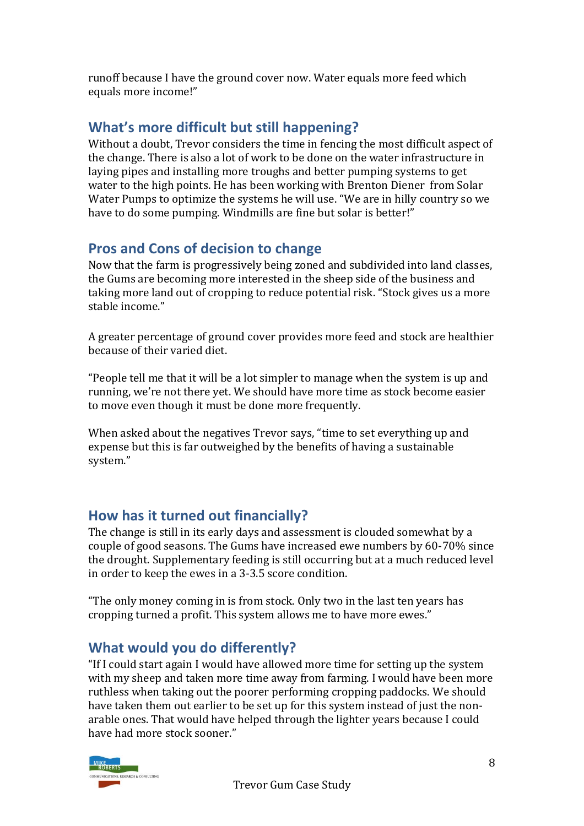runoff because I have the ground cover now. Water equals more feed which equals more income!"

# **What's more difficult but still happening?**

Without a doubt, Trevor considers the time in fencing the most difficult aspect of the change. There is also a lot of work to be done on the water infrastructure in laying pipes and installing more troughs and better pumping systems to get water to the high points. He has been working with Brenton Diener from Solar Water Pumps to optimize the systems he will use. "We are in hilly country so we have to do some pumping. Windmills are fine but solar is better!"

# **Pros and Cons of decision to change**

Now that the farm is progressively being zoned and subdivided into land classes, the Gums are becoming more interested in the sheep side of the business and taking more land out of cropping to reduce potential risk. "Stock gives us a more stable income."

A greater percentage of ground cover provides more feed and stock are healthier because of their varied diet.

"People tell me that it will be a lot simpler to manage when the system is up and running, we're not there yet. We should have more time as stock become easier to move even though it must be done more frequently.

When asked about the negatives Trevor says, "time to set everything up and expense but this is far outweighed by the benefits of having a sustainable system."

# **How has it turned out financially?**

The change is still in its early days and assessment is clouded somewhat by a couple of good seasons. The Gums have increased ewe numbers by 60-70% since the drought. Supplementary feeding is still occurring but at a much reduced level in order to keep the ewes in a 3-3.5 score condition.

"The only money coming in is from stock. Only two in the last ten years has cropping turned a profit. This system allows me to have more ewes."

# **What would you do differently?**

"If I could start again I would have allowed more time for setting up the system with my sheep and taken more time away from farming. I would have been more ruthless when taking out the poorer performing cropping paddocks. We should have taken them out earlier to be set up for this system instead of just the nonarable ones. That would have helped through the lighter years because I could have had more stock sooner."